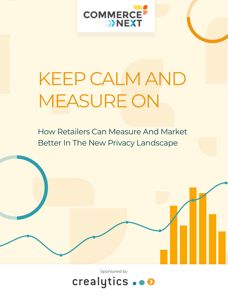

# KEEP CALM AND MEASURE ON

How Retailers Can Measure And Market Better In The New Privacy Landscape

Sponsored by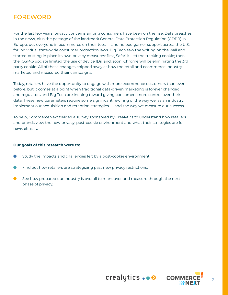# FOREWORD

For the last few years, privacy concerns among consumers have been on the rise. Data breaches in the news, plus the passage of the landmark General Data Protection Regulation (GDPR) in Europe, put everyone in ecommerce on their toes — and helped garner support across the U.S. for individual state-wide consumer protection laws. Big Tech saw the writing on the wall and started putting in place its own privacy measures: first, Safari killed the tracking cookie; then, the iOS14.5 update limited the use of device IDs; and, soon, Chrome will be eliminating the 3rd party cookie. All of these changes chipped away at how the retail and ecommerce industry marketed and measured their campaigns.

Today, retailers have the opportunity to engage with more ecommerce customers than ever before, but it comes at a point when traditional data-driven marketing is forever changed, and regulators and Big Tech are inching toward giving consumers more control over their data. These new parameters require some significant rewiring of the way we, as an industry, implement our acquisition and retention strategies — and the way we measure our success.

To help, CommerceNext fielded a survey sponsored by Crealytics to understand how retailers and brands view the new privacy, post-cookie environment and what their strategies are for navigating it.

#### **Our goals of this research were to:**

- Study the impacts and challenges felt by a post-cookie environment.
- Find out how retailers are strategizing past new privacy restrictions.
- See how prepared our industry is overall to maneuver and measure through the next phase of privacy.

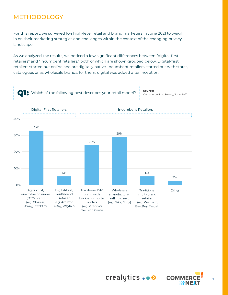# METHODOLOGY

For this report, we surveyed 104 high-level retail and brand marketers in June 2021 to weigh in on their marketing strategies and challenges within the context of the changing privacy landscape.

As we analyzed the results, we noticed a few significant differences between "digital-first retailers" and "incumbent retailers," both of which are shown grouped below. Digital-first retailers started out online and are digitally native. Incumbent retailers started out with stores, catalogues or as wholesale brands; for them, digital was added after inception.





crealytics... O COMM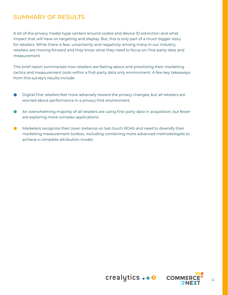# SUMMARY OF RESULTS

A lot of the privacy media hype centers around cookie and device ID extinction and what impact that will have on targeting and display. But, this is only part of a much bigger story for retailers. While there is fear, uncertainty and negativity among many in our industry, retailers are moving forward and they know what they need to focus on: first-party data and measurement.

This brief report summarizes how retailers are feeling about and prioritizing their marketing tactics and measurement tools within a first-party data only environment. A few key takeaways from this survey's results include:

- Digital-first retailers feel more adversely toward the privacy changes, but all retailers are worried about performance in a privacy-first environment.
- An overwhelming majority of all retailers are using first-party data in acquisition, but fewer are exploring more complex applications.
- Marketers recognize their (over-)reliance on last-touch ROAS and need to diversify their marketing measurement toolbox, including combining more advanced methodologies to achieve a complete attribution model.



4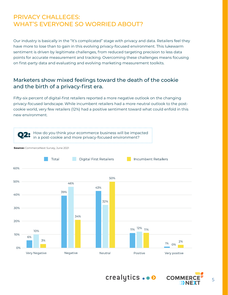# PRIVACY CHALLEGES: WHAT'S EVERYONE SO WORRIED ABOUT?

Our industry is basically in the "It's complicated" stage with privacy and data. Retailers feel they have more to lose than to gain in this evolving privacy-focused environment. This lukewarm sentiment is driven by legitimate challenges, from reduced targeting precision to less data points for accurate measurement and tracking. Overcoming these challenges means focusing on first-party data and evaluating and evolving marketing measurement toolkits.

#### Marketers show mixed feelings toward the death of the cookie and the birth of a privacy-first era.

Fifty-six percent of digital-first retailers reported a more negative outlook on the changing privacy-focused landscape. While incumbent retailers had a more neutral outlook to the postcookie world, very few retailers (12%) had a positive sentiment toward what could enfold in this new environment.



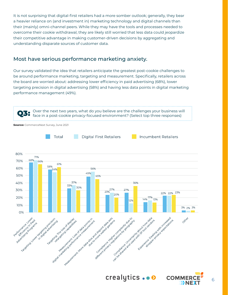It is not surprising that digital-first retailers had a more somber outlook; generally, they bear a heavier reliance on (and investment in) marketing technology and digital channels than their (mainly) omni-channel peers. While they may have the tools and processes needed to overcome their cookie withdrawal, they are likely still worried that less data could jeopardize their competitive advantage in making customer-driven decisions by aggregating and understanding disparate sources of customer data.

#### Most have serious performance marketing anxiety.

Our survey validated the idea that retailers anticipate the greatest post-cookie challenges to be around performance marketing, targeting and measurement. Specifically, retailers across the board are worried about: addressing lower efficiency in paid advertising (68%), lower targeting precision in digital advertising (58%) and having less data points in digital marketing performance management (49%).



crealytics... O COMM

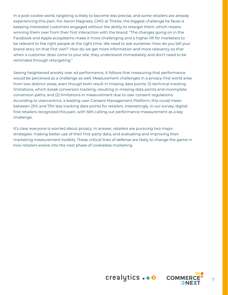In a post-cookie world, targeting is likely to become less precise, and some retailers are already experiencing this pain. For Aaron Magness, CMO at Thistle, the biggest challenge he faces is keeping interested customers engaged without the ability to retarget them, which means winning them over from their first interaction with the brand. "The changes going on in the Facebook and Apple ecosystems make it more challenging and a higher lift for marketers to be relevant to the right people at the right time. We need to ask ourselves 'How do you tell your brand story on that first visit?' How do we get more information and more relevancy so that when a customer does come to your site, they understand immediately and don't need to be reminded through retargeting."

Seeing heightened anxiety over ad performance, it follows that measuring that performance would be perceived as a challenge as well. Measurement challenges in a privacy-first world arise from two distinct areas, even though both result in missing data points: (1) technical tracking limitations, which break conversion tracking, resulting in missing data points and incomplete conversion paths; and (2) limitations in measurement due to user consent regulations. According to Usercentrics, a leading user Consent Management Platform, this could mean between 25% and 75% less tracking data points for retailers. Interestingly, in our survey, digitalfirst retailers recognized this pain, with 56% calling out performance measurement as a key challenge.

It's clear everyone is worried about privacy. In answer, retailers are pursuing two major strategies: making better use of their first-party data, and evaluating and improving their marketing measurement toolkits. These critical lines of defense are likely to change the game in how retailers evolve into the next phase of cookieless marketing.

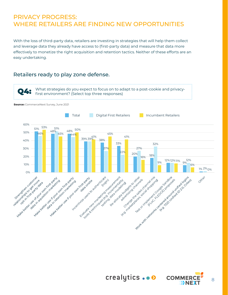# PRIVACY PROGRESS: WHERE RETAILERS ARE FINDING NEW OPPORTUNITIES

With the loss of third-party data, retailers are investing in strategies that will help them collect and leverage data they already have access to (first-party data) and measure that data more effectively to monetize the right acquisition and retention tactics. Neither of these efforts are an easy undertaking.

#### Retailers ready to play zone defense.

What strategies do you expect to focus on to adapt to a post-cookie and privacyfirst environment? (Select top three responses)

**Source:** CommerceNext Survey, June 2021



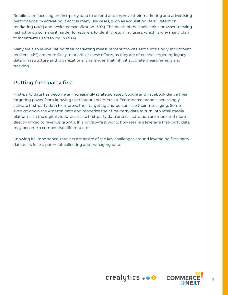Retailers are focusing on first-party data to defend and improve their marketing and advertising performance by activating it across many use cases, such as acquisition (48%), retention marketing (44%) and onsite personalization (39%). The death of the cookie plus browser tracking restrictions also make it harder for retailers to identify returning users, which is why many plan to incentivize users to log in (38%).

Many are also re-evaluating their marketing measurement toolkits. Not surprisingly, incumbent retailers (41%) are more likely to prioritize these efforts, as they are often challenged by legacy data infrastructure and organizational challenges that inhibit accurate measurement and tracking.

#### Putting first-party first.

First-party data has become an increasingly strategic asset. Google and Facebook derive their targeting power from knowing user intent and interests. Ecommerce brands increasingly activate first-party data to improve their targeting and personalize their messaging. Some even go down the Amazon path and monetize their first-party data to turn into retail media platforms. In the digital world, access to first-party data and its activation are more and more directly linked to revenue growth. In a privacy-first world, how retailers leverage first-party data may become a competitive differentiator.

Knowing its importance, retailers are aware of the key challenges around leveraging first-party data to its fullest potential: collecting and managing data.



9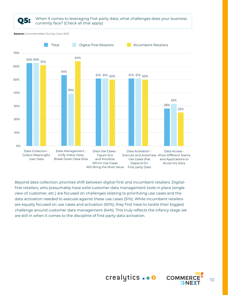

Beyond data collection, priorities shift between digital-first and incumbent retailers. Digitalfirst retailers, who presumably have solid customer data management tools in place (single view of customer, etc.) are focused on challenges relating to prioritizing use cases and the data activation needed to execute against these use cases (51%). While incumbent retailers are equally focused on use cases and activation (50%), they first have to tackle their biggest challenge around customer data management (64%). This truly reflects the infancy stage we are still in when it comes to the discipline of first-party data activation.



crealytics... O COMM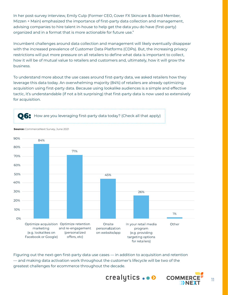In her post-survey interview, Emily Culp (Former CEO, Cover FX Skincare & Board Member, Mizzen + Main) emphasized the importance of first-party data collection and management, advising companies to hire talent in-house to help get the data you do have (first-party) organized and in a format that is more actionable for future use."

Incumbent challenges around data collection and management will likely eventually disappear with the increased prevalence of Customer Data Platforms (CDPs). But, the increasing privacy restrictions will put more pressure on all retailers to define what data is important to collect, how it will be of mutual value to retailers and customers and, ultimately, how it will grow the business.

To understand more about the use cases around first-party data, we asked retailers how they leverage this data today. An overwhelming majority (84%) of retailers are already optimizing acquisition using first-party data. Because using lookalike audiences is a simple and effective tactic, it's understandable (if not a bit surprising) that first-party data is now used so extensively for acquisition.

Q6: How are you leveraging first-party data today? (Check all that apply)



Figuring out the next-gen first-party data use cases — in addition to acquisition and retention — and making data activation work throughout the customer's lifecycle will be two of the greatest challenges for ecommerce throughout the decade.

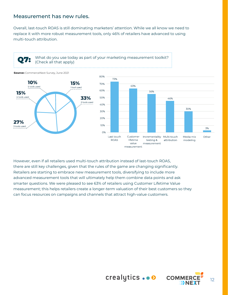#### Measurement has new rules.

Overall, last-touch ROAS is still dominating marketers' attention. While we all know we need to replace it with more robust measurement tools, only 46% of retailers have advanced to using multi-touch attribution.





However, even if all retailers used multi-touch attribution instead of last-touch ROAS, there are still key challenges, given that the rules of the game are changing significantly. Retailers are starting to embrace new measurement tools, diversifying to include more advanced measurement tools that will ultimately help them combine data points and ask smarter questions. We were pleased to see 63% of retailers using Customer Lifetime Value measurement; this helps retailers create a longer-term valuation of their best customers so they can focus resources on campaigns and channels that attract high-value customers.



crealytics... O COMMER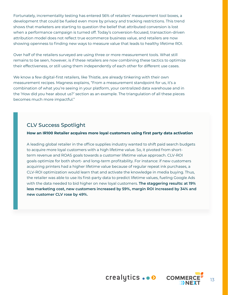Fortunately, incrementality testing has entered 56% of retailers' measurement tool boxes, a development that could be fueled even more by privacy and tracking restrictions. This trend shows that marketers are starting to question the belief that attributed conversion is lost when a performance campaign is turned off. Today's conversion-focused, transaction-driven attribution model does not reflect true ecommerce business value, and retailers are now showing openness to finding new ways to measure value that leads to healthy lifetime ROI.

Over half of the retailers surveyed are using three or more measurement tools. What still remains to be seen, however, is if these retailers are now combining these tactics to optimize their effectiveness, or still using them independently of each other for different use cases.

We know a few digital-first retailers, like Thistle, are already tinkering with their own measurement recipes. Magness explains, "From a measurement standpoint for us, it's a combination of what you're seeing in your platform, your centralized data warehouse and in the 'How did you hear about us?' section as an example. The triangulation of all these pieces becomes much more impactful."

#### CLV Success Spotlight

#### **How an IR100 Retailer acquires more loyal customers using first party data activation**

A leading global retailer in the office supplies industry wanted to shift paid search budgets to acquire more loyal customers with a high lifetime value. So, it pivoted from shortterm revenue and ROAS goals towards a customer lifetime value approach. CLV-ROI goals optimize for both short- and long-term profitability. For instance: if new customers acquiring printers had a higher lifetime value because of regular repeat ink purchases, a CLV-ROI optimization would learn that and activate the knowledge in media buying. Thus, the retailer was able to use its first-party data to predict lifetime values, fueling Google Ads with the data needed to bid higher on new loyal customers. **The staggering results: at 19% less marketing cost, new customers increased by 59%, margin ROI increased by 34% and new customer CLV rose by 49%.**



crealytics... COMMER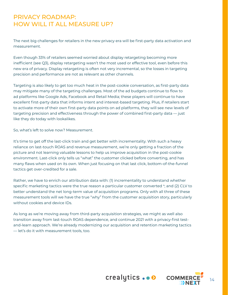### PRIVACY ROADMAP: HOW WILL IT ALL MEASURE UP?

The next big challenges for retailers in the new privacy era will be first-party data activation and measurement.

Even though 33% of retailers seemed worried about display retargeting becoming more inefficient (see Q3), display retargeting wasn't the most used or effective tool, even before this new era of privacy. Display retargeting is often not very incremental, so the losses in targeting precision and performance are not as relevant as other channels.

Targeting is also likely to get too much heat in the post-cookie conversation, as first-party data may mitigate many of the targeting challenges. Most of the ad budgets continue to flow to ad platforms like Google Ads, Facebook and Retail Media; these players will continue to have excellent first-party data that informs intent and interest-based targeting. Plus, if retailers start to activate more of their own first-party data points on ad platforms, they will see new levels of targeting precision and effectiveness through the power of combined first-party data — just like they do today with lookalikes.

So, what's left to solve now? Measurement.

It's time to get off the last-click train and get better with incrementality. With such a heavy reliance on last-touch ROAS and revenue measurement, we're only getting a fraction of the picture and not learning valuable lessons to help us improve acquisition in the post-cookie environment. Last-click only tells us "what" the customer clicked before converting, and has many flaws when used on its own. When just focusing on that last click, bottom-of-the-funnel tactics get over-credited for a sale.

Rather, we have to enrich our attribution data with: (1) incrementality to understand whether specific marketing tactics were the true reason a particular customer converted  $4$ ; and (2) CLV to better understand the net long-term value of acquisition programs. Only with all three of these measurement tools will we have the true "why" from the customer acquisition story, particularly without cookies and device IDs.

As long as we're moving away from third-party acquisition strategies, we might as well also transition away from last-touch ROAS dependence, and continue 2021 with a privacy-first testand-learn approach. We're already modernizing our acquisition and retention marketing tactics — let's do it with measurement tools, too.

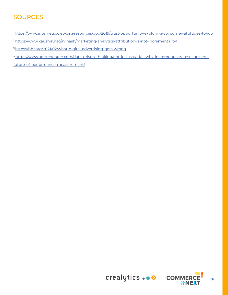# **SOURCES**

1 https://www.internetsociety.org/resources/doc/2019/trust-opportunity-exploring-consumer-attitudes-to-iot/

<sup>2</sup> https://www.kaushik.net/avinash/marketing-analytics-attribution-is-not-incrementality/

3 https://hbr.org/2021/02/what-digital-advertising-gets-wrong

4 https://www.adexchanger.com/data-driven-thinking/not-just-pass-fail-why-incrementality-tests-are-the-

future-of-performance-measurement/